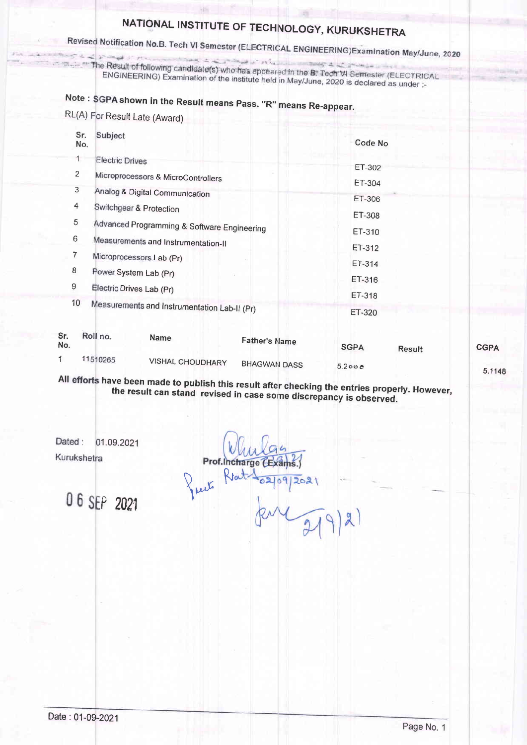# NATIONAL INSTITUTE OF TECHNOLOGY, KURUKSHETRA<br>Revised Notification No.B. Tech VI Semester (ELECTRICAL ENGINEERING)Examination May/June, 2020

The Result of following candidate(s) who has appeared in the B. Tech VI Semester (ELECTRICAL<br>ENGINEERING) Examination of the institute held in May/June 2020 is declared SC under ENGINEERING) Examination of the institute held in the B. Tech VI Semester (ELECTRIC<br>ENGINEERING) Examination of the institute held in May/June, 2020 is declared as under :-

## Note : SGPA shown in the Result means Pass. "R" means Re-appear

RL(A) For Result Late (Award)

| Sr.<br>No. | Subject                                                                            | Code No                                                       |
|------------|------------------------------------------------------------------------------------|---------------------------------------------------------------|
| 2          | <b>Electric Drives</b><br>Microprocessors & MicroControllers                       | ET-302<br>ET-304                                              |
| 3<br>4     | Analog & Digital Communication<br>Switchgear & Protection                          | ET-306<br>ET-308                                              |
| 5<br>6     | Advanced Programming & Software Engineering<br>Measurements and Instrumentation-II | ET-310<br>ET-312                                              |
| 7<br>8     | Microprocessors Lab (Pr)<br>Power System Lab (Pr)                                  | ET-314<br>ET-316                                              |
| 9<br>10    | Electric Drives Lab (Pr)<br>Measurements and Instrumentation Lab-II (Pr)           | ET-318                                                        |
| Sr.<br>Νп. | Roll no.<br><b>Name</b>                                                            | ET-320<br><b>Father's Name</b><br>$\sim$ $\sim$ $\sim$ $\sim$ |

| No. |          | .                       | <b>Father's Name</b> | <b>SGPA</b> | Result | <b>CGPA</b> |
|-----|----------|-------------------------|----------------------|-------------|--------|-------------|
|     | 11510265 | <b>VISHAL CHOUDHARY</b> | <b>BHAGWAN DASS</b>  | 5.200c      |        |             |
|     |          |                         |                      |             |        | 5.1148      |

All efforts have the been made to publish this result after checking the entries properly. However<br>result can stand revised in case some discrepancy is observed.

Dated: 01.09.2021 Kurukshetra

Prof.Incharge

06 SEP 2021

Pro. Rat 102/09/202  $\widehat{219}$  $\mathbf{z}$